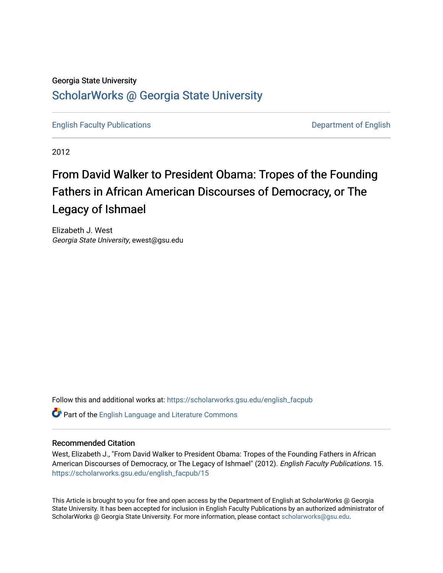### Georgia State University [ScholarWorks @ Georgia State University](https://scholarworks.gsu.edu/)

[English Faculty Publications](https://scholarworks.gsu.edu/english_facpub) **Department of English** 

2012

# From David Walker to President Obama: Tropes of the Founding Fathers in African American Discourses of Democracy, or The Legacy of Ishmael

Elizabeth J. West Georgia State University, ewest@gsu.edu

Follow this and additional works at: [https://scholarworks.gsu.edu/english\\_facpub](https://scholarworks.gsu.edu/english_facpub?utm_source=scholarworks.gsu.edu%2Fenglish_facpub%2F15&utm_medium=PDF&utm_campaign=PDFCoverPages)

Part of the [English Language and Literature Commons](http://network.bepress.com/hgg/discipline/455?utm_source=scholarworks.gsu.edu%2Fenglish_facpub%2F15&utm_medium=PDF&utm_campaign=PDFCoverPages)

#### Recommended Citation

West, Elizabeth J., "From David Walker to President Obama: Tropes of the Founding Fathers in African American Discourses of Democracy, or The Legacy of Ishmael" (2012). English Faculty Publications. 15. [https://scholarworks.gsu.edu/english\\_facpub/15](https://scholarworks.gsu.edu/english_facpub/15?utm_source=scholarworks.gsu.edu%2Fenglish_facpub%2F15&utm_medium=PDF&utm_campaign=PDFCoverPages) 

This Article is brought to you for free and open access by the Department of English at ScholarWorks @ Georgia State University. It has been accepted for inclusion in English Faculty Publications by an authorized administrator of ScholarWorks @ Georgia State University. For more information, please contact [scholarworks@gsu.edu](mailto:scholarworks@gsu.edu).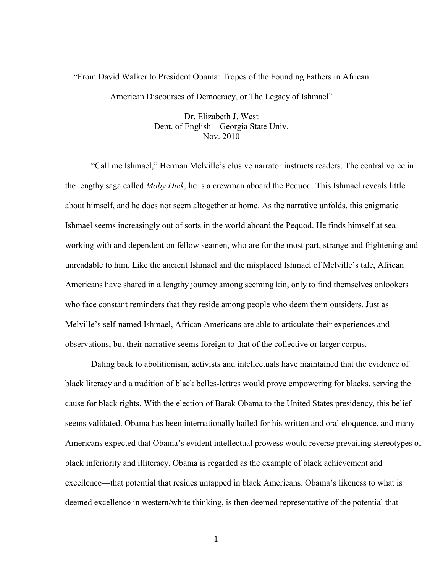## "From David Walker to President Obama: Tropes of the Founding Fathers in African American Discourses of Democracy, or The Legacy of Ishmael"

Dr. Elizabeth J. West Dept. of English—Georgia State Univ. Nov. 2010

"Call me Ishmael," Herman Melville's elusive narrator instructs readers. The central voice in the lengthy saga called *Moby Dick*, he is a crewman aboard the Pequod. This Ishmael reveals little about himself, and he does not seem altogether at home. As the narrative unfolds, this enigmatic Ishmael seems increasingly out of sorts in the world aboard the Pequod. He finds himself at sea working with and dependent on fellow seamen, who are for the most part, strange and frightening and unreadable to him. Like the ancient Ishmael and the misplaced Ishmael of Melville's tale, African Americans have shared in a lengthy journey among seeming kin, only to find themselves onlookers who face constant reminders that they reside among people who deem them outsiders. Just as Melville's self-named Ishmael, African Americans are able to articulate their experiences and observations, but their narrative seems foreign to that of the collective or larger corpus.

Dating back to abolitionism, activists and intellectuals have maintained that the evidence of black literacy and a tradition of black belles-lettres would prove empowering for blacks, serving the cause for black rights. With the election of Barak Obama to the United States presidency, this belief seems validated. Obama has been internationally hailed for his written and oral eloquence, and many Americans expected that Obama's evident intellectual prowess would reverse prevailing stereotypes of black inferiority and illiteracy. Obama is regarded as the example of black achievement and excellence—that potential that resides untapped in black Americans. Obama's likeness to what is deemed excellence in western/white thinking, is then deemed representative of the potential that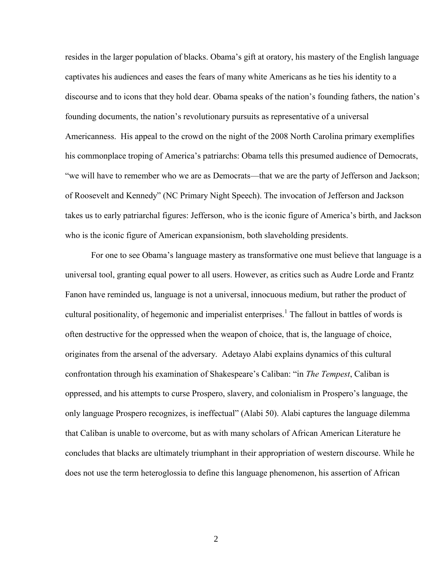resides in the larger population of blacks. Obama's gift at oratory, his mastery of the English language captivates his audiences and eases the fears of many white Americans as he ties his identity to a discourse and to icons that they hold dear. Obama speaks of the nation's founding fathers, the nation's founding documents, the nation's revolutionary pursuits as representative of a universal Americanness. His appeal to the crowd on the night of the 2008 North Carolina primary exemplifies his commonplace troping of America's patriarchs: Obama tells this presumed audience of Democrats, "we will have to remember who we are as Democrats—that we are the party of Jefferson and Jackson; of Roosevelt and Kennedy" (NC Primary Night Speech). The invocation of Jefferson and Jackson takes us to early patriarchal figures: Jefferson, who is the iconic figure of America's birth, and Jackson who is the iconic figure of American expansionism, both slaveholding presidents.

For one to see Obama's language mastery as transformative one must believe that language is a universal tool, granting equal power to all users. However, as critics such as Audre Lorde and Frantz Fanon have reminded us, language is not a universal, innocuous medium, but rather the product of cultural positionality, of hegemonic and imperialist enterprises.<sup>1</sup> The fallout in battles of words is often destructive for the oppressed when the weapon of choice, that is, the language of choice, originates from the arsenal of the adversary. Adetayo Alabi explains dynamics of this cultural confrontation through his examination of Shakespeare's Caliban: "in *The Tempest*, Caliban is oppressed, and his attempts to curse Prospero, slavery, and colonialism in Prospero's language, the only language Prospero recognizes, is ineffectual" (Alabi 50). Alabi captures the language dilemma that Caliban is unable to overcome, but as with many scholars of African American Literature he concludes that blacks are ultimately triumphant in their appropriation of western discourse. While he does not use the term heteroglossia to define this language phenomenon, his assertion of African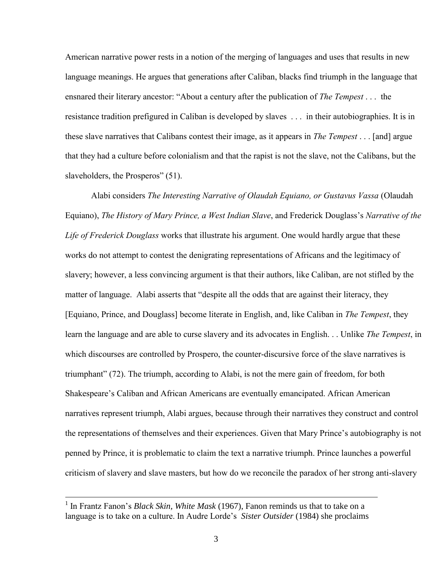American narrative power rests in a notion of the merging of languages and uses that results in new language meanings. He argues that generations after Caliban, blacks find triumph in the language that ensnared their literary ancestor: "About a century after the publication of *The Tempest* . . . the resistance tradition prefigured in Caliban is developed by slaves . . . in their autobiographies. It is in these slave narratives that Calibans contest their image, as it appears in *The Tempest* . . . [and] argue that they had a culture before colonialism and that the rapist is not the slave, not the Calibans, but the slaveholders, the Prosperos" (51).

Alabi considers *The Interesting Narrative of Olaudah Equiano, or Gustavus Vassa* (Olaudah Equiano), *The History of Mary Prince, a West Indian Slave*, and Frederick Douglass's *Narrative of the Life of Frederick Douglass* works that illustrate his argument. One would hardly argue that these works do not attempt to contest the denigrating representations of Africans and the legitimacy of slavery; however, a less convincing argument is that their authors, like Caliban, are not stifled by the matter of language. Alabi asserts that "despite all the odds that are against their literacy, they [Equiano, Prince, and Douglass] become literate in English, and, like Caliban in *The Tempest*, they learn the language and are able to curse slavery and its advocates in English. . . Unlike *The Tempest*, in which discourses are controlled by Prospero, the counter-discursive force of the slave narratives is triumphant" (72). The triumph, according to Alabi, is not the mere gain of freedom, for both Shakespeare's Caliban and African Americans are eventually emancipated. African American narratives represent triumph, Alabi argues, because through their narratives they construct and control the representations of themselves and their experiences. Given that Mary Prince's autobiography is not penned by Prince, it is problematic to claim the text a narrative triumph. Prince launches a powerful criticism of slavery and slave masters, but how do we reconcile the paradox of her strong anti-slavery

<sup>&</sup>lt;sup>1</sup> In Frantz Fanon's *Black Skin, White Mask* (1967), Fanon reminds us that to take on a language is to take on a culture. In Audre Lorde's *Sister Outsider* (1984) she proclaims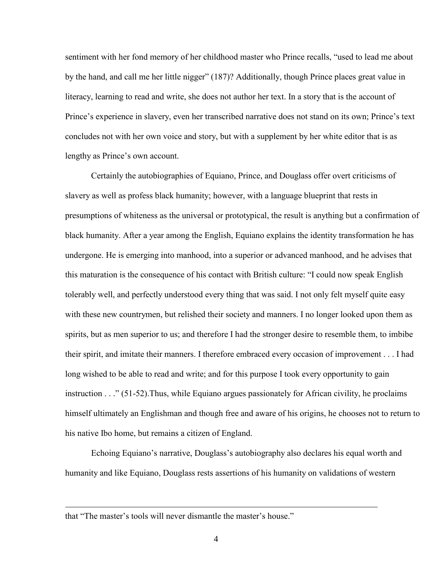sentiment with her fond memory of her childhood master who Prince recalls, "used to lead me about by the hand, and call me her little nigger" (187)? Additionally, though Prince places great value in literacy, learning to read and write, she does not author her text. In a story that is the account of Prince's experience in slavery, even her transcribed narrative does not stand on its own; Prince's text concludes not with her own voice and story, but with a supplement by her white editor that is as lengthy as Prince's own account.

Certainly the autobiographies of Equiano, Prince, and Douglass offer overt criticisms of slavery as well as profess black humanity; however, with a language blueprint that rests in presumptions of whiteness as the universal or prototypical, the result is anything but a confirmation of black humanity. After a year among the English, Equiano explains the identity transformation he has undergone. He is emerging into manhood, into a superior or advanced manhood, and he advises that this maturation is the consequence of his contact with British culture: "I could now speak English tolerably well, and perfectly understood every thing that was said. I not only felt myself quite easy with these new countrymen, but relished their society and manners. I no longer looked upon them as spirits, but as men superior to us; and therefore I had the stronger desire to resemble them, to imbibe their spirit, and imitate their manners. I therefore embraced every occasion of improvement . . . I had long wished to be able to read and write; and for this purpose I took every opportunity to gain instruction . . ." (51-52).Thus, while Equiano argues passionately for African civility, he proclaims himself ultimately an Englishman and though free and aware of his origins, he chooses not to return to his native Ibo home, but remains a citizen of England.

Echoing Equiano's narrative, Douglass's autobiography also declares his equal worth and humanity and like Equiano, Douglass rests assertions of his humanity on validations of western

that "The master's tools will never dismantle the master's house."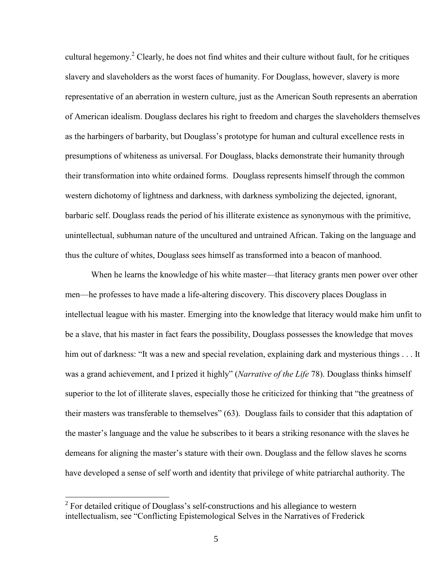cultural hegemony.<sup>2</sup> Clearly, he does not find whites and their culture without fault, for he critiques slavery and slaveholders as the worst faces of humanity. For Douglass, however, slavery is more representative of an aberration in western culture, just as the American South represents an aberration of American idealism. Douglass declares his right to freedom and charges the slaveholders themselves as the harbingers of barbarity, but Douglass's prototype for human and cultural excellence rests in presumptions of whiteness as universal. For Douglass, blacks demonstrate their humanity through their transformation into white ordained forms. Douglass represents himself through the common western dichotomy of lightness and darkness, with darkness symbolizing the dejected, ignorant, barbaric self. Douglass reads the period of his illiterate existence as synonymous with the primitive, unintellectual, subhuman nature of the uncultured and untrained African. Taking on the language and thus the culture of whites, Douglass sees himself as transformed into a beacon of manhood.

When he learns the knowledge of his white master—that literacy grants men power over other men—he professes to have made a life-altering discovery. This discovery places Douglass in intellectual league with his master. Emerging into the knowledge that literacy would make him unfit to be a slave, that his master in fact fears the possibility, Douglass possesses the knowledge that moves him out of darkness: "It was a new and special revelation, explaining dark and mysterious things . . . It was a grand achievement, and I prized it highly" (*Narrative of the Life* 78). Douglass thinks himself superior to the lot of illiterate slaves, especially those he criticized for thinking that "the greatness of their masters was transferable to themselves" (63). Douglass fails to consider that this adaptation of the master's language and the value he subscribes to it bears a striking resonance with the slaves he demeans for aligning the master's stature with their own. Douglass and the fellow slaves he scorns have developed a sense of self worth and identity that privilege of white patriarchal authority. The

 $2^2$  For detailed critique of Douglass's self-constructions and his allegiance to western intellectualism, see "Conflicting Epistemological Selves in the Narratives of Frederick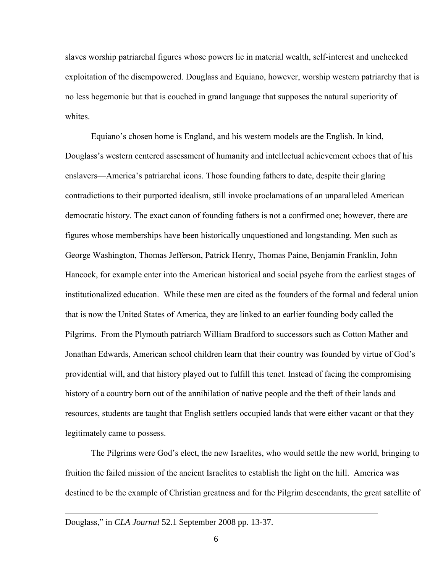slaves worship patriarchal figures whose powers lie in material wealth, self-interest and unchecked exploitation of the disempowered. Douglass and Equiano, however, worship western patriarchy that is no less hegemonic but that is couched in grand language that supposes the natural superiority of whites.

Equiano's chosen home is England, and his western models are the English. In kind, Douglass's western centered assessment of humanity and intellectual achievement echoes that of his enslavers—America's patriarchal icons. Those founding fathers to date, despite their glaring contradictions to their purported idealism, still invoke proclamations of an unparalleled American democratic history. The exact canon of founding fathers is not a confirmed one; however, there are figures whose memberships have been historically unquestioned and longstanding. Men such as George Washington, Thomas Jefferson, Patrick Henry, Thomas Paine, Benjamin Franklin, John Hancock, for example enter into the American historical and social psyche from the earliest stages of institutionalized education. While these men are cited as the founders of the formal and federal union that is now the United States of America, they are linked to an earlier founding body called the Pilgrims. From the Plymouth patriarch William Bradford to successors such as Cotton Mather and Jonathan Edwards, American school children learn that their country was founded by virtue of God's providential will, and that history played out to fulfill this tenet. Instead of facing the compromising history of a country born out of the annihilation of native people and the theft of their lands and resources, students are taught that English settlers occupied lands that were either vacant or that they legitimately came to possess.

The Pilgrims were God's elect, the new Israelites, who would settle the new world, bringing to fruition the failed mission of the ancient Israelites to establish the light on the hill. America was destined to be the example of Christian greatness and for the Pilgrim descendants, the great satellite of

Douglass," in *CLA Journal* 52.1 September 2008 pp. 13-37.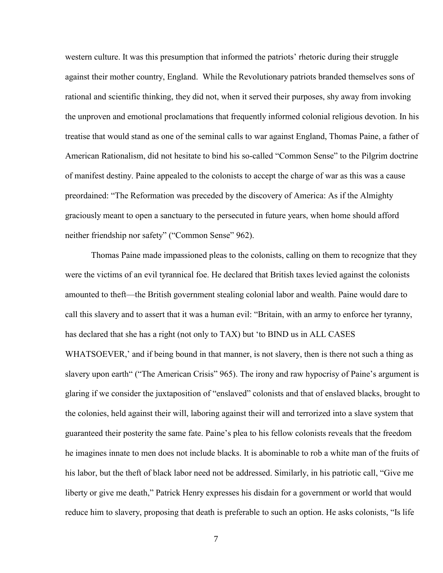western culture. It was this presumption that informed the patriots' rhetoric during their struggle against their mother country, England. While the Revolutionary patriots branded themselves sons of rational and scientific thinking, they did not, when it served their purposes, shy away from invoking the unproven and emotional proclamations that frequently informed colonial religious devotion. In his treatise that would stand as one of the seminal calls to war against England, Thomas Paine, a father of American Rationalism, did not hesitate to bind his so-called "Common Sense" to the Pilgrim doctrine of manifest destiny. Paine appealed to the colonists to accept the charge of war as this was a cause preordained: "The Reformation was preceded by the discovery of America: As if the Almighty graciously meant to open a sanctuary to the persecuted in future years, when home should afford neither friendship nor safety" ("Common Sense" 962).

Thomas Paine made impassioned pleas to the colonists, calling on them to recognize that they were the victims of an evil tyrannical foe. He declared that British taxes levied against the colonists amounted to theft—the British government stealing colonial labor and wealth. Paine would dare to call this slavery and to assert that it was a human evil: "Britain, with an army to enforce her tyranny, has declared that she has a right (not only to TAX) but 'to BIND us in ALL CASES WHATSOEVER,' and if being bound in that manner, is not slavery, then is there not such a thing as slavery upon earth" ("The American Crisis" 965). The irony and raw hypocrisy of Paine's argument is glaring if we consider the juxtaposition of "enslaved" colonists and that of enslaved blacks, brought to the colonies, held against their will, laboring against their will and terrorized into a slave system that guaranteed their posterity the same fate. Paine's plea to his fellow colonists reveals that the freedom he imagines innate to men does not include blacks. It is abominable to rob a white man of the fruits of his labor, but the theft of black labor need not be addressed. Similarly, in his patriotic call, "Give me liberty or give me death," Patrick Henry expresses his disdain for a government or world that would reduce him to slavery, proposing that death is preferable to such an option. He asks colonists, "Is life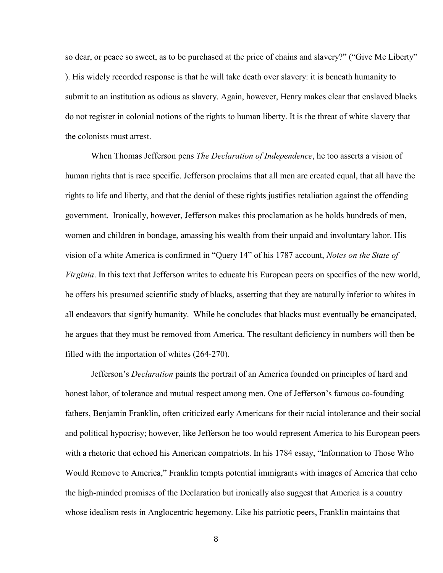so dear, or peace so sweet, as to be purchased at the price of chains and slavery?" ("Give Me Liberty" ). His widely recorded response is that he will take death over slavery: it is beneath humanity to submit to an institution as odious as slavery. Again, however, Henry makes clear that enslaved blacks do not register in colonial notions of the rights to human liberty. It is the threat of white slavery that the colonists must arrest.

When Thomas Jefferson pens *The Declaration of Independence*, he too asserts a vision of human rights that is race specific. Jefferson proclaims that all men are created equal, that all have the rights to life and liberty, and that the denial of these rights justifies retaliation against the offending government. Ironically, however, Jefferson makes this proclamation as he holds hundreds of men, women and children in bondage, amassing his wealth from their unpaid and involuntary labor. His vision of a white America is confirmed in "Query 14" of his 1787 account, *Notes on the State of Virginia*. In this text that Jefferson writes to educate his European peers on specifics of the new world, he offers his presumed scientific study of blacks, asserting that they are naturally inferior to whites in all endeavors that signify humanity. While he concludes that blacks must eventually be emancipated, he argues that they must be removed from America. The resultant deficiency in numbers will then be filled with the importation of whites (264-270).

Jefferson's *Declaration* paints the portrait of an America founded on principles of hard and honest labor, of tolerance and mutual respect among men. One of Jefferson's famous co-founding fathers, Benjamin Franklin, often criticized early Americans for their racial intolerance and their social and political hypocrisy; however, like Jefferson he too would represent America to his European peers with a rhetoric that echoed his American compatriots. In his 1784 essay, "Information to Those Who Would Remove to America," Franklin tempts potential immigrants with images of America that echo the high-minded promises of the Declaration but ironically also suggest that America is a country whose idealism rests in Anglocentric hegemony. Like his patriotic peers, Franklin maintains that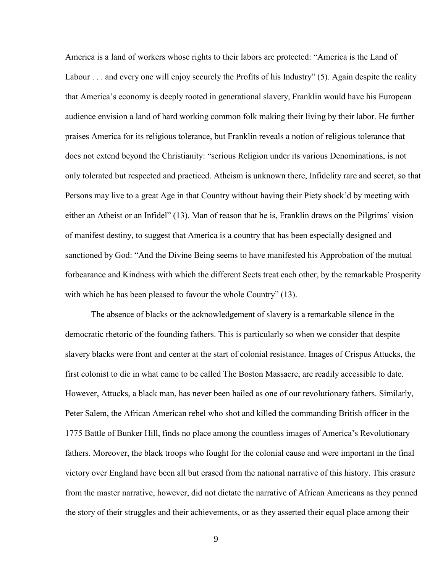America is a land of workers whose rights to their labors are protected: "America is the Land of Labour . . . and every one will enjoy securely the Profits of his Industry" (5). Again despite the reality that America's economy is deeply rooted in generational slavery, Franklin would have his European audience envision a land of hard working common folk making their living by their labor. He further praises America for its religious tolerance, but Franklin reveals a notion of religious tolerance that does not extend beyond the Christianity: "serious Religion under its various Denominations, is not only tolerated but respected and practiced. Atheism is unknown there, Infidelity rare and secret, so that Persons may live to a great Age in that Country without having their Piety shock'd by meeting with either an Atheist or an Infidel" (13). Man of reason that he is, Franklin draws on the Pilgrims' vision of manifest destiny, to suggest that America is a country that has been especially designed and sanctioned by God: "And the Divine Being seems to have manifested his Approbation of the mutual forbearance and Kindness with which the different Sects treat each other, by the remarkable Prosperity with which he has been pleased to favour the whole Country" (13).

The absence of blacks or the acknowledgement of slavery is a remarkable silence in the democratic rhetoric of the founding fathers. This is particularly so when we consider that despite slavery blacks were front and center at the start of colonial resistance. Images of Crispus Attucks, the first colonist to die in what came to be called The Boston Massacre, are readily accessible to date. However, Attucks, a black man, has never been hailed as one of our revolutionary fathers. Similarly, Peter Salem, the African American rebel who shot and killed the commanding British officer in the 1775 Battle of Bunker Hill, finds no place among the countless images of America's Revolutionary fathers. Moreover, the black troops who fought for the colonial cause and were important in the final victory over England have been all but erased from the national narrative of this history. This erasure from the master narrative, however, did not dictate the narrative of African Americans as they penned the story of their struggles and their achievements, or as they asserted their equal place among their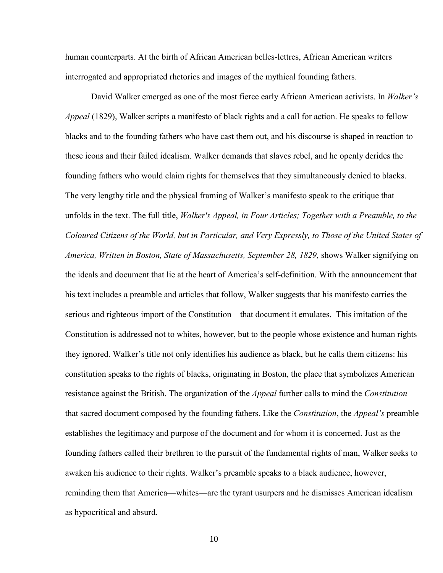human counterparts. At the birth of African American belles-lettres, African American writers interrogated and appropriated rhetorics and images of the mythical founding fathers.

David Walker emerged as one of the most fierce early African American activists. In *Walker's Appeal* (1829), Walker scripts a manifesto of black rights and a call for action. He speaks to fellow blacks and to the founding fathers who have cast them out, and his discourse is shaped in reaction to these icons and their failed idealism. Walker demands that slaves rebel, and he openly derides the founding fathers who would claim rights for themselves that they simultaneously denied to blacks. The very lengthy title and the physical framing of Walker's manifesto speak to the critique that unfolds in the text. The full title, *Walker's Appeal, in Four Articles; Together with a Preamble, to the Coloured Citizens of the World, but in Particular, and Very Expressly, to Those of the United States of America, Written in Boston, State of Massachusetts, September 28, 1829,* shows Walker signifying on the ideals and document that lie at the heart of America's self-definition. With the announcement that his text includes a preamble and articles that follow, Walker suggests that his manifesto carries the serious and righteous import of the Constitution—that document it emulates. This imitation of the Constitution is addressed not to whites, however, but to the people whose existence and human rights they ignored. Walker's title not only identifies his audience as black, but he calls them citizens: his constitution speaks to the rights of blacks, originating in Boston, the place that symbolizes American resistance against the British. The organization of the *Appeal* further calls to mind the *Constitution* that sacred document composed by the founding fathers. Like the *Constitution*, the *Appeal's* preamble establishes the legitimacy and purpose of the document and for whom it is concerned. Just as the founding fathers called their brethren to the pursuit of the fundamental rights of man, Walker seeks to awaken his audience to their rights. Walker's preamble speaks to a black audience, however, reminding them that America—whites—are the tyrant usurpers and he dismisses American idealism as hypocritical and absurd.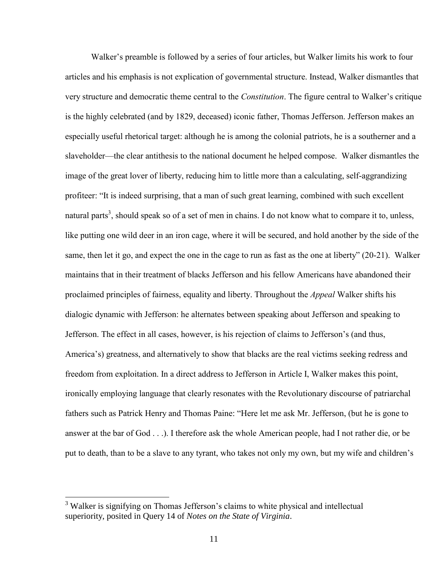Walker's preamble is followed by a series of four articles, but Walker limits his work to four articles and his emphasis is not explication of governmental structure. Instead, Walker dismantles that very structure and democratic theme central to the *Constitution*. The figure central to Walker's critique is the highly celebrated (and by 1829, deceased) iconic father, Thomas Jefferson. Jefferson makes an especially useful rhetorical target: although he is among the colonial patriots, he is a southerner and a slaveholder—the clear antithesis to the national document he helped compose. Walker dismantles the image of the great lover of liberty, reducing him to little more than a calculating, self-aggrandizing profiteer: "It is indeed surprising, that a man of such great learning, combined with such excellent natural parts<sup>3</sup>, should speak so of a set of men in chains. I do not know what to compare it to, unless, like putting one wild deer in an iron cage, where it will be secured, and hold another by the side of the same, then let it go, and expect the one in the cage to run as fast as the one at liberty" (20-21). Walker maintains that in their treatment of blacks Jefferson and his fellow Americans have abandoned their proclaimed principles of fairness, equality and liberty. Throughout the *Appeal* Walker shifts his dialogic dynamic with Jefferson: he alternates between speaking about Jefferson and speaking to Jefferson. The effect in all cases, however, is his rejection of claims to Jefferson's (and thus, America's) greatness, and alternatively to show that blacks are the real victims seeking redress and freedom from exploitation. In a direct address to Jefferson in Article I, Walker makes this point, ironically employing language that clearly resonates with the Revolutionary discourse of patriarchal fathers such as Patrick Henry and Thomas Paine: "Here let me ask Mr. Jefferson, (but he is gone to answer at the bar of God . . .). I therefore ask the whole American people, had I not rather die, or be put to death, than to be a slave to any tyrant, who takes not only my own, but my wife and children's

<sup>&</sup>lt;sup>3</sup> Walker is signifying on Thomas Jefferson's claims to white physical and intellectual superiority, posited in Query 14 of *Notes on the State of Virginia*.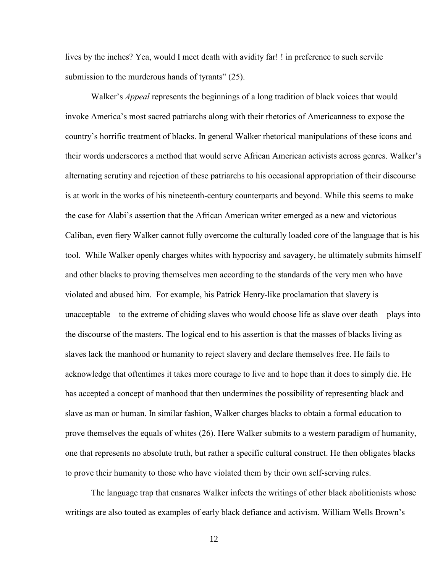lives by the inches? Yea, would I meet death with avidity far! ! in preference to such servile submission to the murderous hands of tyrants" (25).

Walker's *Appeal* represents the beginnings of a long tradition of black voices that would invoke America's most sacred patriarchs along with their rhetorics of Americanness to expose the country's horrific treatment of blacks. In general Walker rhetorical manipulations of these icons and their words underscores a method that would serve African American activists across genres. Walker's alternating scrutiny and rejection of these patriarchs to his occasional appropriation of their discourse is at work in the works of his nineteenth-century counterparts and beyond. While this seems to make the case for Alabi's assertion that the African American writer emerged as a new and victorious Caliban, even fiery Walker cannot fully overcome the culturally loaded core of the language that is his tool. While Walker openly charges whites with hypocrisy and savagery, he ultimately submits himself and other blacks to proving themselves men according to the standards of the very men who have violated and abused him. For example, his Patrick Henry-like proclamation that slavery is unacceptable—to the extreme of chiding slaves who would choose life as slave over death—plays into the discourse of the masters. The logical end to his assertion is that the masses of blacks living as slaves lack the manhood or humanity to reject slavery and declare themselves free. He fails to acknowledge that oftentimes it takes more courage to live and to hope than it does to simply die. He has accepted a concept of manhood that then undermines the possibility of representing black and slave as man or human. In similar fashion, Walker charges blacks to obtain a formal education to prove themselves the equals of whites (26). Here Walker submits to a western paradigm of humanity, one that represents no absolute truth, but rather a specific cultural construct. He then obligates blacks to prove their humanity to those who have violated them by their own self-serving rules.

The language trap that ensnares Walker infects the writings of other black abolitionists whose writings are also touted as examples of early black defiance and activism. William Wells Brown's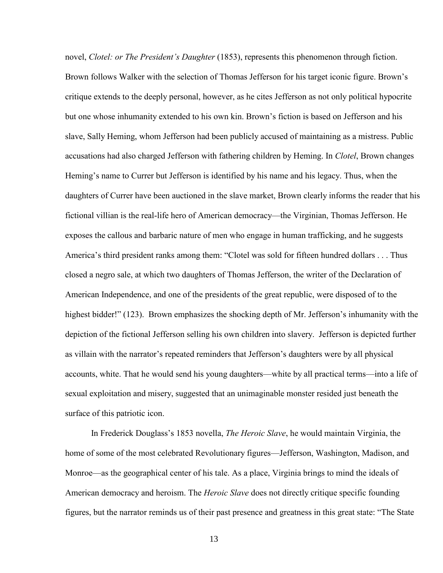novel, *Clotel: or The President's Daughter* (1853), represents this phenomenon through fiction. Brown follows Walker with the selection of Thomas Jefferson for his target iconic figure. Brown's critique extends to the deeply personal, however, as he cites Jefferson as not only political hypocrite but one whose inhumanity extended to his own kin. Brown's fiction is based on Jefferson and his slave, Sally Heming, whom Jefferson had been publicly accused of maintaining as a mistress. Public accusations had also charged Jefferson with fathering children by Heming. In *Clotel*, Brown changes Heming's name to Currer but Jefferson is identified by his name and his legacy. Thus, when the daughters of Currer have been auctioned in the slave market, Brown clearly informs the reader that his fictional villian is the real-life hero of American democracy—the Virginian, Thomas Jefferson. He exposes the callous and barbaric nature of men who engage in human trafficking, and he suggests America's third president ranks among them: "Clotel was sold for fifteen hundred dollars . . . Thus closed a negro sale, at which two daughters of Thomas Jefferson, the writer of the Declaration of American Independence, and one of the presidents of the great republic, were disposed of to the highest bidder!" (123). Brown emphasizes the shocking depth of Mr. Jefferson's inhumanity with the depiction of the fictional Jefferson selling his own children into slavery. Jefferson is depicted further as villain with the narrator's repeated reminders that Jefferson's daughters were by all physical accounts, white. That he would send his young daughters—white by all practical terms—into a life of sexual exploitation and misery, suggested that an unimaginable monster resided just beneath the surface of this patriotic icon.

In Frederick Douglass's 1853 novella, *The Heroic Slave*, he would maintain Virginia, the home of some of the most celebrated Revolutionary figures—Jefferson, Washington, Madison, and Monroe—as the geographical center of his tale. As a place, Virginia brings to mind the ideals of American democracy and heroism. The *Heroic Slave* does not directly critique specific founding figures, but the narrator reminds us of their past presence and greatness in this great state: "The State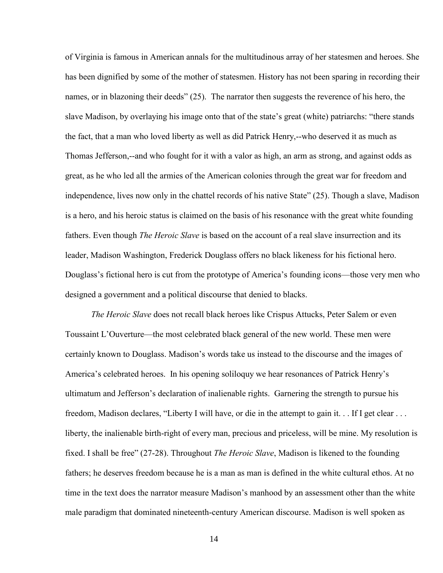of Virginia is famous in American annals for the multitudinous array of her statesmen and heroes. She has been dignified by some of the mother of statesmen. History has not been sparing in recording their names, or in blazoning their deeds" (25). The narrator then suggests the reverence of his hero, the slave Madison, by overlaying his image onto that of the state's great (white) patriarchs: "there stands the fact, that a man who loved liberty as well as did Patrick Henry,--who deserved it as much as Thomas Jefferson,--and who fought for it with a valor as high, an arm as strong, and against odds as great, as he who led all the armies of the American colonies through the great war for freedom and independence, lives now only in the chattel records of his native State" (25). Though a slave, Madison is a hero, and his heroic status is claimed on the basis of his resonance with the great white founding fathers. Even though *The Heroic Slave* is based on the account of a real slave insurrection and its leader, Madison Washington, Frederick Douglass offers no black likeness for his fictional hero. Douglass's fictional hero is cut from the prototype of America's founding icons—those very men who designed a government and a political discourse that denied to blacks.

*The Heroic Slave* does not recall black heroes like Crispus Attucks, Peter Salem or even Toussaint L'Ouverture—the most celebrated black general of the new world. These men were certainly known to Douglass. Madison's words take us instead to the discourse and the images of America's celebrated heroes. In his opening soliloquy we hear resonances of Patrick Henry's ultimatum and Jefferson's declaration of inalienable rights. Garnering the strength to pursue his freedom, Madison declares, "Liberty I will have, or die in the attempt to gain it. . . If I get clear . . . liberty, the inalienable birth-right of every man, precious and priceless, will be mine. My resolution is fixed. I shall be free" (27-28). Throughout *The Heroic Slave*, Madison is likened to the founding fathers; he deserves freedom because he is a man as man is defined in the white cultural ethos. At no time in the text does the narrator measure Madison's manhood by an assessment other than the white male paradigm that dominated nineteenth-century American discourse. Madison is well spoken as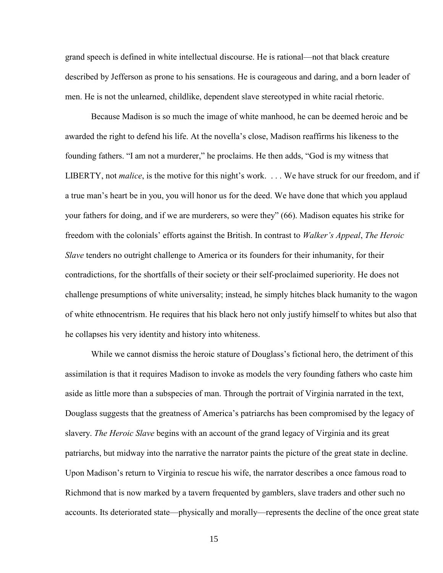grand speech is defined in white intellectual discourse. He is rational—not that black creature described by Jefferson as prone to his sensations. He is courageous and daring, and a born leader of men. He is not the unlearned, childlike, dependent slave stereotyped in white racial rhetoric.

Because Madison is so much the image of white manhood, he can be deemed heroic and be awarded the right to defend his life. At the novella's close, Madison reaffirms his likeness to the founding fathers. "I am not a murderer," he proclaims. He then adds, "God is my witness that LIBERTY, not *malice*, is the motive for this night's work. . . . We have struck for our freedom, and if a true man's heart be in you, you will honor us for the deed. We have done that which you applaud your fathers for doing, and if we are murderers, so were they" (66). Madison equates his strike for freedom with the colonials' efforts against the British. In contrast to *Walker's Appeal*, *The Heroic Slave* tenders no outright challenge to America or its founders for their inhumanity, for their contradictions, for the shortfalls of their society or their self-proclaimed superiority. He does not challenge presumptions of white universality; instead, he simply hitches black humanity to the wagon of white ethnocentrism. He requires that his black hero not only justify himself to whites but also that he collapses his very identity and history into whiteness.

While we cannot dismiss the heroic stature of Douglass's fictional hero, the detriment of this assimilation is that it requires Madison to invoke as models the very founding fathers who caste him aside as little more than a subspecies of man. Through the portrait of Virginia narrated in the text, Douglass suggests that the greatness of America's patriarchs has been compromised by the legacy of slavery. *The Heroic Slave* begins with an account of the grand legacy of Virginia and its great patriarchs, but midway into the narrative the narrator paints the picture of the great state in decline. Upon Madison's return to Virginia to rescue his wife, the narrator describes a once famous road to Richmond that is now marked by a tavern frequented by gamblers, slave traders and other such no accounts. Its deteriorated state—physically and morally—represents the decline of the once great state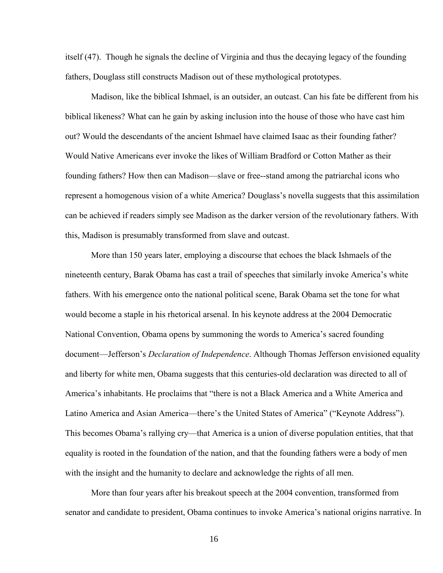itself (47). Though he signals the decline of Virginia and thus the decaying legacy of the founding fathers, Douglass still constructs Madison out of these mythological prototypes.

Madison, like the biblical Ishmael, is an outsider, an outcast. Can his fate be different from his biblical likeness? What can he gain by asking inclusion into the house of those who have cast him out? Would the descendants of the ancient Ishmael have claimed Isaac as their founding father? Would Native Americans ever invoke the likes of William Bradford or Cotton Mather as their founding fathers? How then can Madison—slave or free--stand among the patriarchal icons who represent a homogenous vision of a white America? Douglass's novella suggests that this assimilation can be achieved if readers simply see Madison as the darker version of the revolutionary fathers. With this, Madison is presumably transformed from slave and outcast.

More than 150 years later, employing a discourse that echoes the black Ishmaels of the nineteenth century, Barak Obama has cast a trail of speeches that similarly invoke America's white fathers. With his emergence onto the national political scene, Barak Obama set the tone for what would become a staple in his rhetorical arsenal. In his keynote address at the 2004 Democratic National Convention, Obama opens by summoning the words to America's sacred founding document—Jefferson's *Declaration of Independence*. Although Thomas Jefferson envisioned equality and liberty for white men, Obama suggests that this centuries-old declaration was directed to all of America's inhabitants. He proclaims that "there is not a Black America and a White America and Latino America and Asian America—there's the United States of America" ("Keynote Address"). This becomes Obama's rallying cry—that America is a union of diverse population entities, that that equality is rooted in the foundation of the nation, and that the founding fathers were a body of men with the insight and the humanity to declare and acknowledge the rights of all men.

More than four years after his breakout speech at the 2004 convention, transformed from senator and candidate to president, Obama continues to invoke America's national origins narrative. In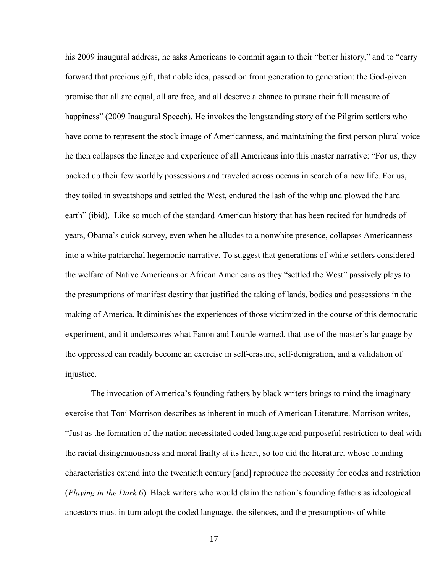his 2009 inaugural address, he asks Americans to commit again to their "better history," and to "carry forward that precious gift, that noble idea, passed on from generation to generation: the God-given promise that all are equal, all are free, and all deserve a chance to pursue their full measure of happiness" (2009 Inaugural Speech). He invokes the longstanding story of the Pilgrim settlers who have come to represent the stock image of Americanness, and maintaining the first person plural voice he then collapses the lineage and experience of all Americans into this master narrative: "For us, they packed up their few worldly possessions and traveled across oceans in search of a new life. For us, they toiled in sweatshops and settled the West, endured the lash of the whip and plowed the hard earth" (ibid). Like so much of the standard American history that has been recited for hundreds of years, Obama's quick survey, even when he alludes to a nonwhite presence, collapses Americanness into a white patriarchal hegemonic narrative. To suggest that generations of white settlers considered the welfare of Native Americans or African Americans as they "settled the West" passively plays to the presumptions of manifest destiny that justified the taking of lands, bodies and possessions in the making of America. It diminishes the experiences of those victimized in the course of this democratic experiment, and it underscores what Fanon and Lourde warned, that use of the master's language by the oppressed can readily become an exercise in self-erasure, self-denigration, and a validation of injustice.

The invocation of America's founding fathers by black writers brings to mind the imaginary exercise that Toni Morrison describes as inherent in much of American Literature. Morrison writes, "Just as the formation of the nation necessitated coded language and purposeful restriction to deal with the racial disingenuousness and moral frailty at its heart, so too did the literature, whose founding characteristics extend into the twentieth century [and] reproduce the necessity for codes and restriction (*Playing in the Dark* 6). Black writers who would claim the nation's founding fathers as ideological ancestors must in turn adopt the coded language, the silences, and the presumptions of white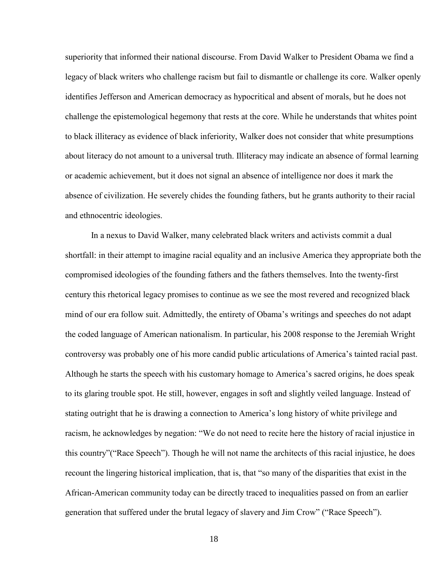superiority that informed their national discourse. From David Walker to President Obama we find a legacy of black writers who challenge racism but fail to dismantle or challenge its core. Walker openly identifies Jefferson and American democracy as hypocritical and absent of morals, but he does not challenge the epistemological hegemony that rests at the core. While he understands that whites point to black illiteracy as evidence of black inferiority, Walker does not consider that white presumptions about literacy do not amount to a universal truth. Illiteracy may indicate an absence of formal learning or academic achievement, but it does not signal an absence of intelligence nor does it mark the absence of civilization. He severely chides the founding fathers, but he grants authority to their racial and ethnocentric ideologies.

In a nexus to David Walker, many celebrated black writers and activists commit a dual shortfall: in their attempt to imagine racial equality and an inclusive America they appropriate both the compromised ideologies of the founding fathers and the fathers themselves. Into the twenty-first century this rhetorical legacy promises to continue as we see the most revered and recognized black mind of our era follow suit. Admittedly, the entirety of Obama's writings and speeches do not adapt the coded language of American nationalism. In particular, his 2008 response to the Jeremiah Wright controversy was probably one of his more candid public articulations of America's tainted racial past. Although he starts the speech with his customary homage to America's sacred origins, he does speak to its glaring trouble spot. He still, however, engages in soft and slightly veiled language. Instead of stating outright that he is drawing a connection to America's long history of white privilege and racism, he acknowledges by negation: "We do not need to recite here the history of racial injustice in this country"("Race Speech"). Though he will not name the architects of this racial injustice, he does recount the lingering historical implication, that is, that "so many of the disparities that exist in the African-American community today can be directly traced to inequalities passed on from an earlier generation that suffered under the brutal legacy of slavery and Jim Crow" ("Race Speech").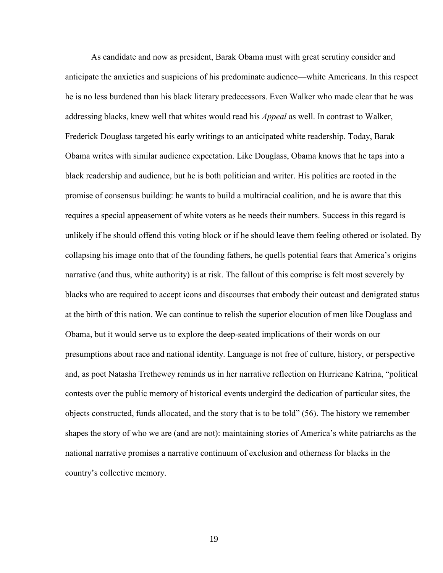As candidate and now as president, Barak Obama must with great scrutiny consider and anticipate the anxieties and suspicions of his predominate audience—white Americans. In this respect he is no less burdened than his black literary predecessors. Even Walker who made clear that he was addressing blacks, knew well that whites would read his *Appeal* as well. In contrast to Walker, Frederick Douglass targeted his early writings to an anticipated white readership. Today, Barak Obama writes with similar audience expectation. Like Douglass, Obama knows that he taps into a black readership and audience, but he is both politician and writer. His politics are rooted in the promise of consensus building: he wants to build a multiracial coalition, and he is aware that this requires a special appeasement of white voters as he needs their numbers. Success in this regard is unlikely if he should offend this voting block or if he should leave them feeling othered or isolated. By collapsing his image onto that of the founding fathers, he quells potential fears that America's origins narrative (and thus, white authority) is at risk. The fallout of this comprise is felt most severely by blacks who are required to accept icons and discourses that embody their outcast and denigrated status at the birth of this nation. We can continue to relish the superior elocution of men like Douglass and Obama, but it would serve us to explore the deep-seated implications of their words on our presumptions about race and national identity. Language is not free of culture, history, or perspective and, as poet Natasha Trethewey reminds us in her narrative reflection on Hurricane Katrina, "political contests over the public memory of historical events undergird the dedication of particular sites, the objects constructed, funds allocated, and the story that is to be told" (56). The history we remember shapes the story of who we are (and are not): maintaining stories of America's white patriarchs as the national narrative promises a narrative continuum of exclusion and otherness for blacks in the country's collective memory.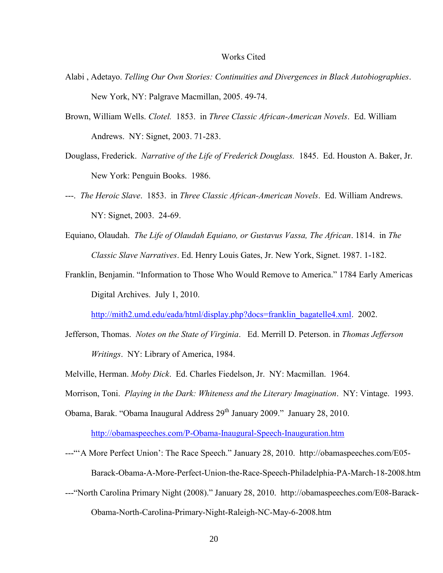#### Works Cited

- Alabi , Adetayo. *Telling Our Own Stories: Continuities and Divergences in Black Autobiographies*. New York, NY: Palgrave Macmillan, 2005. 49-74.
- Brown, William Wells. *Clotel.* 1853. in *Three Classic African-American Novels*. Ed. William Andrews. NY: Signet, 2003. 71-283.
- Douglass, Frederick. *Narrative of the Life of Frederick Douglass.* 1845. Ed. Houston A. Baker, Jr. New York: Penguin Books. 1986.
- ---. *The Heroic Slave*. 1853. in *Three Classic African-American Novels*. Ed. William Andrews. NY: Signet, 2003. 24-69.
- Equiano, Olaudah. *The Life of Olaudah Equiano, or Gustavus Vassa, The African*. 1814. in *The Classic Slave Narratives*. Ed. Henry Louis Gates, Jr. New York, Signet. 1987. 1-182.
- Franklin, Benjamin. "Information to Those Who Would Remove to America." 1784 Early Americas Digital Archives. July 1, 2010.

[http://mith2.umd.edu/eada/html/display.php?docs=franklin\\_bagatelle4.xml.](http://mith2.umd.edu/eada/html/display.php?docs=franklin_bagatelle4.xml) 2002.

- Jefferson, Thomas. *Notes on the State of Virginia*. Ed. Merrill D. Peterson. in *Thomas Jefferson Writings*. NY: Library of America, 1984.
- Melville, Herman. *Moby Dick*. Ed. Charles Fiedelson, Jr. NY: Macmillan. 1964.
- Morrison, Toni. *Playing in the Dark: Whiteness and the Literary Imagination*. NY: Vintage. 1993.
- Obama, Barak. "Obama Inaugural Address 29<sup>th</sup> January 2009." January 28, 2010.

<http://obamaspeeches.com/P-Obama-Inaugural-Speech-Inauguration.htm>

---"'A More Perfect Union': The Race Speech." January 28, 2010. http://obamaspeeches.com/E05-

Barack-Obama-A-More-Perfect-Union-the-Race-Speech-Philadelphia-PA-March-18-2008.htm

---"North Carolina Primary Night (2008)." January 28, 2010. http://obamaspeeches.com/E08-Barack-Obama-North-Carolina-Primary-Night-Raleigh-NC-May-6-2008.htm